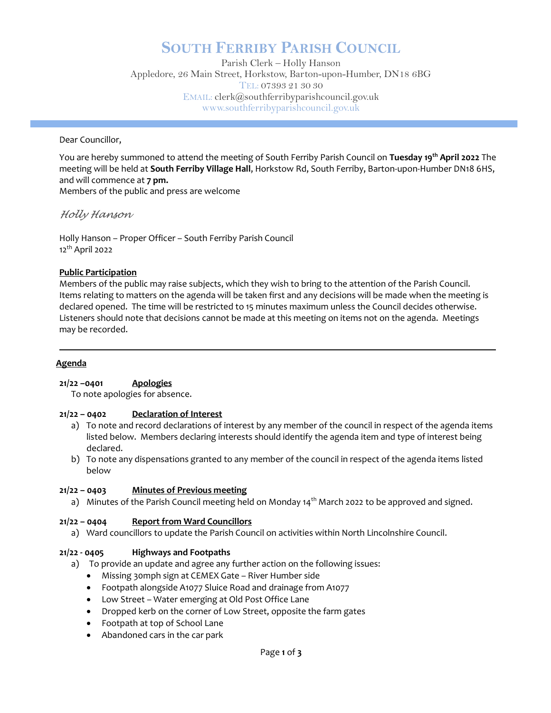# SOUTH FERRIBY PARISH COUNCIL

Parish Clerk – Holly Hanson Appledore, 26 Main Street, Horkstow, Barton-upon-Humber, DN18 6BG TEL: 07393 21 30 30 EMAIL: clerk@southferribyparishcouncil.gov.uk www.southferribyparishcouncil.gov.uk

Dear Councillor,

You are hereby summoned to attend the meeting of South Ferriby Parish Council on Tuesday 19th April 2022 The meeting will be held at South Ferriby Village Hall, Horkstow Rd, South Ferriby, Barton-upon-Humber DN18 6HS, and will commence at 7 pm. Members of the public and press are welcome

Holly Hanson

Holly Hanson – Proper Officer – South Ferriby Parish Council 12th April 2022

# Public Participation

Members of the public may raise subjects, which they wish to bring to the attention of the Parish Council. Items relating to matters on the agenda will be taken first and any decisions will be made when the meeting is declared opened. The time will be restricted to 15 minutes maximum unless the Council decides otherwise. Listeners should note that decisions cannot be made at this meeting on items not on the agenda. Meetings may be recorded.

# Agenda

# 21/22 -0401 Apologies

To note apologies for absence.

# 21/22 – 0402 Declaration of Interest

- a) To note and record declarations of interest by any member of the council in respect of the agenda items listed below. Members declaring interests should identify the agenda item and type of interest being declared.
- b) To note any dispensations granted to any member of the council in respect of the agenda items listed below

# 21/22 – 0403 Minutes of Previous meeting

a) Minutes of the Parish Council meeting held on Monday 14<sup>th</sup> March 2022 to be approved and signed.

# 21/22 – 0404 Report from Ward Councillors

a) Ward councillors to update the Parish Council on activities within North Lincolnshire Council.

# 21/22 - 0405 Highways and Footpaths

- a) To provide an update and agree any further action on the following issues:
	- Missing 30mph sign at CEMEX Gate River Humber side
	- Footpath alongside A1077 Sluice Road and drainage from A1077
	- Low Street Water emerging at Old Post Office Lane
	- Dropped kerb on the corner of Low Street, opposite the farm gates
	- Footpath at top of School Lane
	- Abandoned cars in the car park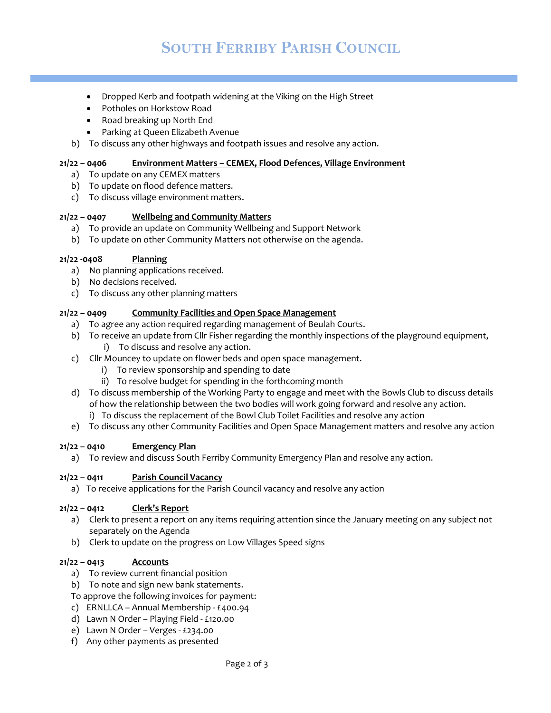- Dropped Kerb and footpath widening at the Viking on the High Street
- Potholes on Horkstow Road
- Road breaking up North End
- Parking at Queen Elizabeth Avenue
- b) To discuss any other highways and footpath issues and resolve any action.

#### 21/22 – 0406 Environment Matters – CEMEX, Flood Defences, Village Environment

- a) To update on any CEMEX matters
- b) To update on flood defence matters.
- c) To discuss village environment matters.

#### 21/22 – 0407 Wellbeing and Community Matters

- a) To provide an update on Community Wellbeing and Support Network
- b) To update on other Community Matters not otherwise on the agenda.

#### 21/22 -0408 Planning

- a) No planning applications received.
- b) No decisions received.
- c) To discuss any other planning matters

#### 21/22 – 0409 Community Facilities and Open Space Management

- a) To agree any action required regarding management of Beulah Courts.
- b) To receive an update from Cllr Fisher regarding the monthly inspections of the playground equipment,
	- i) To discuss and resolve any action.
- c) Cllr Mouncey to update on flower beds and open space management.
	- i) To review sponsorship and spending to date
	- ii) To resolve budget for spending in the forthcoming month
- d) To discuss membership of the Working Party to engage and meet with the Bowls Club to discuss details of how the relationship between the two bodies will work going forward and resolve any action.
	- i) To discuss the replacement of the Bowl Club Toilet Facilities and resolve any action
- e) To discuss any other Community Facilities and Open Space Management matters and resolve any action

#### $21/22 - 0410$  Emergency Plan

a) To review and discuss South Ferriby Community Emergency Plan and resolve any action.

#### 21/22 – 0411 Parish Council Vacancy

a) To receive applications for the Parish Council vacancy and resolve any action

# 21/22 – 0412 Clerk's Report

- a) Clerk to present a report on any items requiring attention since the January meeting on any subject not separately on the Agenda
- b) Clerk to update on the progress on Low Villages Speed signs

#### $21/22 - 0413$  Accounts

- a) To review current financial position
- b) To note and sign new bank statements.
- To approve the following invoices for payment:
- c) ERNLLCA Annual Membership £400.94
- d) Lawn N Order Playing Field £120.00
- e) Lawn N Order Verges £234.00
- f) Any other payments as presented